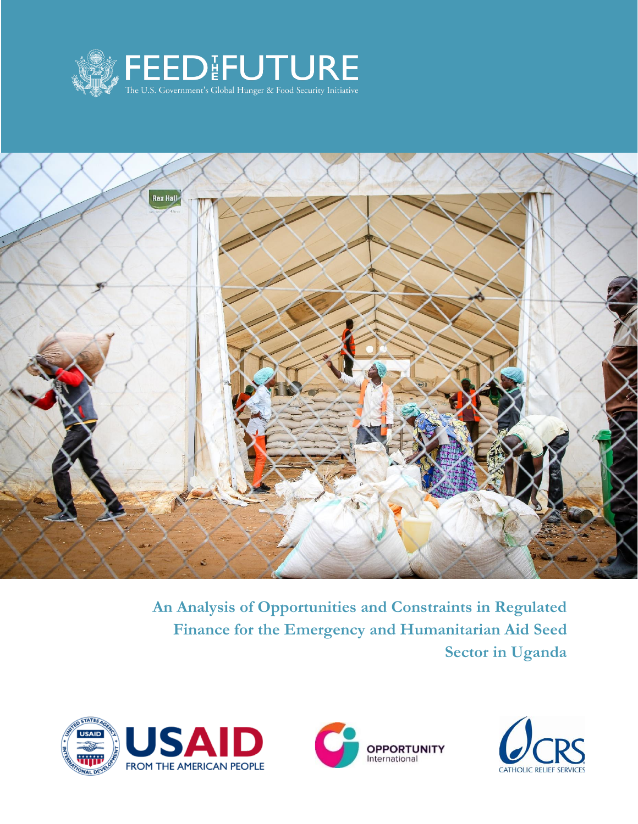



**An Analysis of Opportunities and Constraints in Regulated Finance for the Emergency and Humanitarian Aid Seed Sector in Uganda**





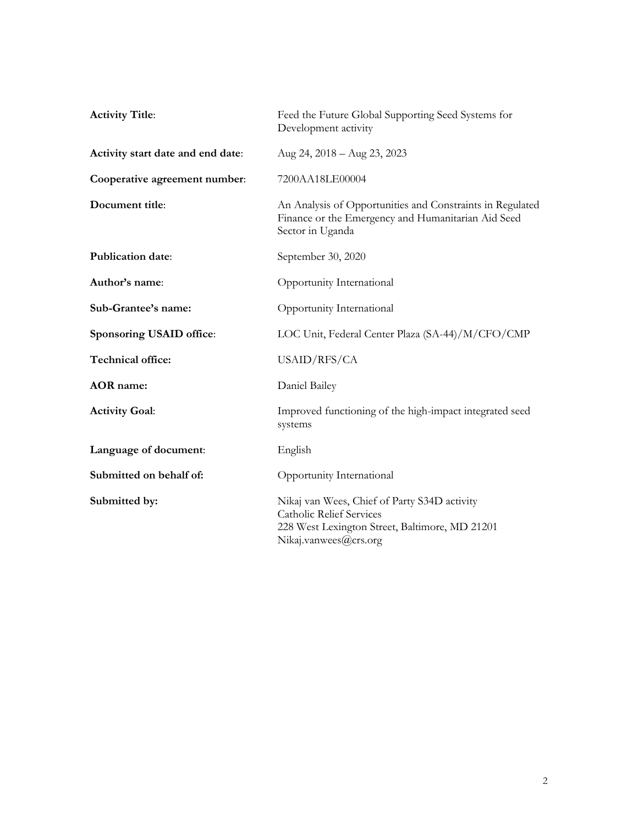| <b>Activity Title:</b>            | Feed the Future Global Supporting Seed Systems for<br>Development activity                                                                                 |
|-----------------------------------|------------------------------------------------------------------------------------------------------------------------------------------------------------|
| Activity start date and end date: | Aug 24, 2018 - Aug 23, 2023                                                                                                                                |
| Cooperative agreement number:     | 7200AA18LE00004                                                                                                                                            |
| Document title:                   | An Analysis of Opportunities and Constraints in Regulated<br>Finance or the Emergency and Humanitarian Aid Seed<br>Sector in Uganda                        |
| Publication date:                 | September 30, 2020                                                                                                                                         |
| Author's name:                    | Opportunity International                                                                                                                                  |
| Sub-Grantee's name:               | Opportunity International                                                                                                                                  |
| Sponsoring USAID office:          | LOC Unit, Federal Center Plaza (SA-44)/M/CFO/CMP                                                                                                           |
| Technical office:                 | USAID/RFS/CA                                                                                                                                               |
| <b>AOR</b> name:                  | Daniel Bailey                                                                                                                                              |
| <b>Activity Goal:</b>             | Improved functioning of the high-impact integrated seed<br>systems                                                                                         |
| Language of document:             | English                                                                                                                                                    |
| Submitted on behalf of:           | Opportunity International                                                                                                                                  |
| Submitted by:                     | Nikaj van Wees, Chief of Party S34D activity<br><b>Catholic Relief Services</b><br>228 West Lexington Street, Baltimore, MD 21201<br>Nikaj.vanwees@crs.org |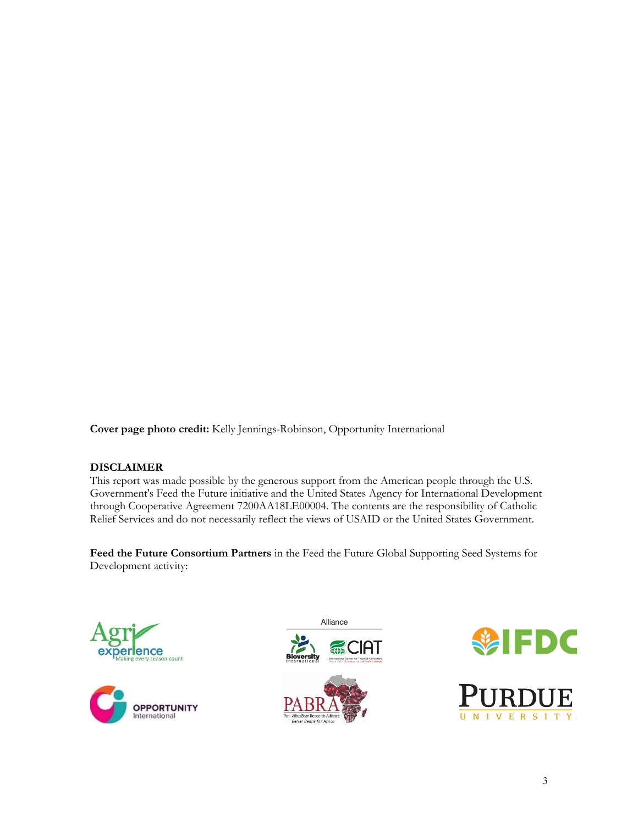**Cover page photo credit:** Kelly Jennings-Robinson, Opportunity International

#### **DISCLAIMER**

This report was made possible by the generous support from the American people through the U.S. Government's Feed the Future initiative and the United States Agency for International Development through Cooperative Agreement 7200AA18LE00004. The contents are the responsibility of Catholic Relief Services and do not necessarily reflect the views of USAID or the United States Government.

**Feed the Future Consortium Partners** in the Feed the Future Global Supporting Seed Systems for Development activity:









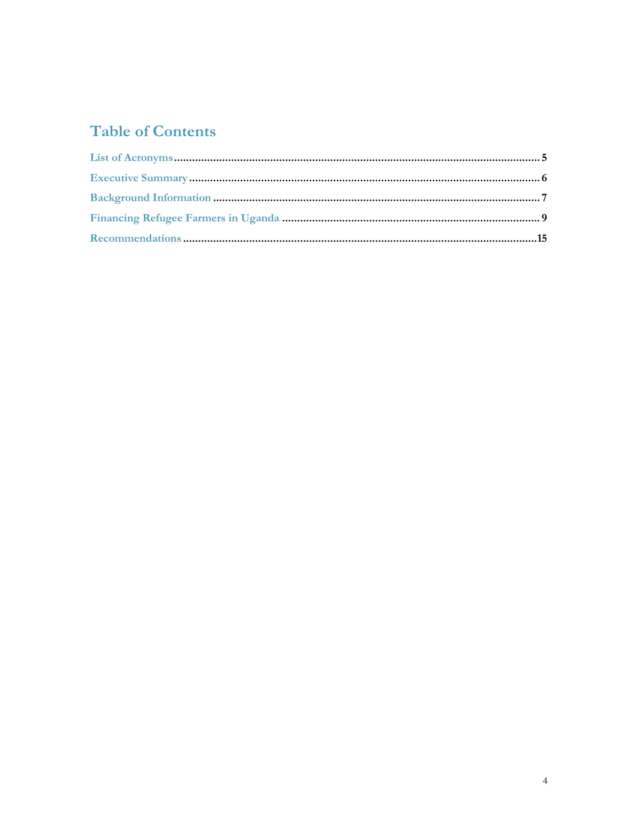# **Table of Contents**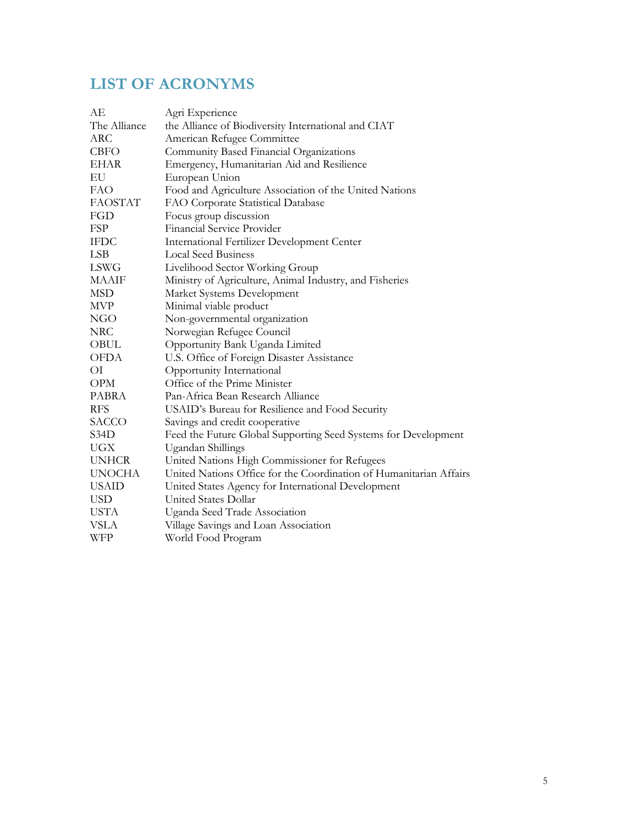## **LIST OF ACRONYMS**

| АE             | Agri Experience                                                    |
|----------------|--------------------------------------------------------------------|
| The Alliance   | the Alliance of Biodiversity International and CIAT                |
| ARC            | American Refugee Committee                                         |
| <b>CBFO</b>    | Community Based Financial Organizations                            |
| <b>EHAR</b>    | Emergency, Humanitarian Aid and Resilience                         |
| EU             | European Union                                                     |
| <b>FAO</b>     | Food and Agriculture Association of the United Nations             |
| <b>FAOSTAT</b> | FAO Corporate Statistical Database                                 |
| FGD            | Focus group discussion                                             |
| FSP            | Financial Service Provider                                         |
| <b>IFDC</b>    | International Fertilizer Development Center                        |
| <b>LSB</b>     | <b>Local Seed Business</b>                                         |
| <b>LSWG</b>    | Livelihood Sector Working Group                                    |
| <b>MAAIF</b>   | Ministry of Agriculture, Animal Industry, and Fisheries            |
| MSD            | Market Systems Development                                         |
| <b>MVP</b>     | Minimal viable product                                             |
| <b>NGO</b>     | Non-governmental organization                                      |
| <b>NRC</b>     | Norwegian Refugee Council                                          |
| OBUL           | Opportunity Bank Uganda Limited                                    |
| <b>OFDA</b>    | U.S. Office of Foreign Disaster Assistance                         |
| ОI             | Opportunity International                                          |
| <b>OPM</b>     | Office of the Prime Minister                                       |
| PABRA          | Pan-Africa Bean Research Alliance                                  |
| <b>RFS</b>     | USAID's Bureau for Resilience and Food Security                    |
| <b>SACCO</b>   | Savings and credit cooperative                                     |
| S34D           | Feed the Future Global Supporting Seed Systems for Development     |
| <b>UGX</b>     | Ugandan Shillings                                                  |
| <b>UNHCR</b>   | United Nations High Commissioner for Refugees                      |
| <b>UNOCHA</b>  | United Nations Office for the Coordination of Humanitarian Affairs |
| <b>USAID</b>   | United States Agency for International Development                 |
| <b>USD</b>     | United States Dollar                                               |
| <b>USTA</b>    | Uganda Seed Trade Association                                      |
| VSLA           | Village Savings and Loan Association                               |
| WFP            | World Food Program                                                 |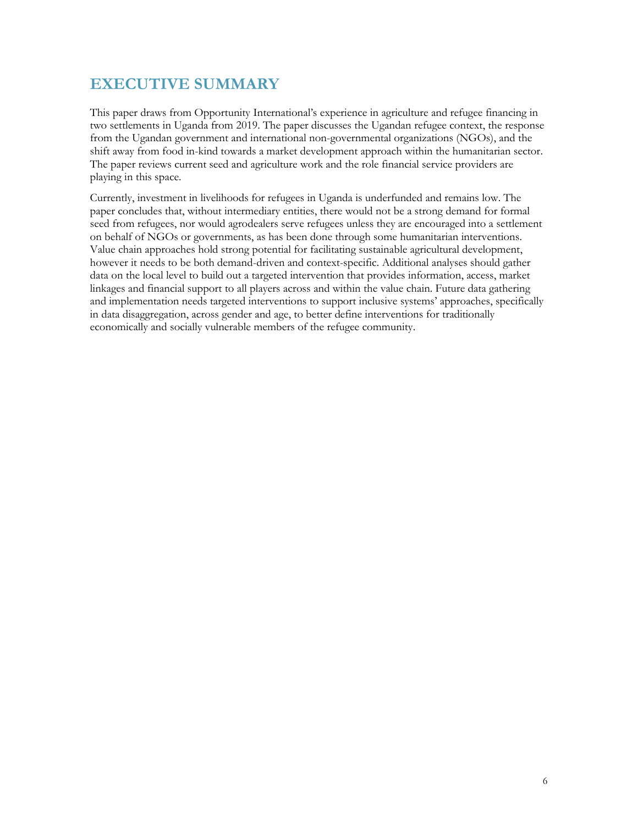### **EXECUTIVE SUMMARY**

This paper draws from Opportunity International's experience in agriculture and refugee financing in two settlements in Uganda from 2019. The paper discusses the Ugandan refugee context, the response from the Ugandan government and international non-governmental organizations (NGOs), and the shift away from food in-kind towards a market development approach within the humanitarian sector. The paper reviews current seed and agriculture work and the role financial service providers are playing in this space.

Currently, investment in livelihoods for refugees in Uganda is underfunded and remains low. The paper concludes that, without intermediary entities, there would not be a strong demand for formal seed from refugees, nor would agrodealers serve refugees unless they are encouraged into a settlement on behalf of NGOs or governments, as has been done through some humanitarian interventions. Value chain approaches hold strong potential for facilitating sustainable agricultural development, however it needs to be both demand-driven and context-specific. Additional analyses should gather data on the local level to build out a targeted intervention that provides information, access, market linkages and financial support to all players across and within the value chain. Future data gathering and implementation needs targeted interventions to support inclusive systems' approaches, specifically in data disaggregation, across gender and age, to better define interventions for traditionally economically and socially vulnerable members of the refugee community.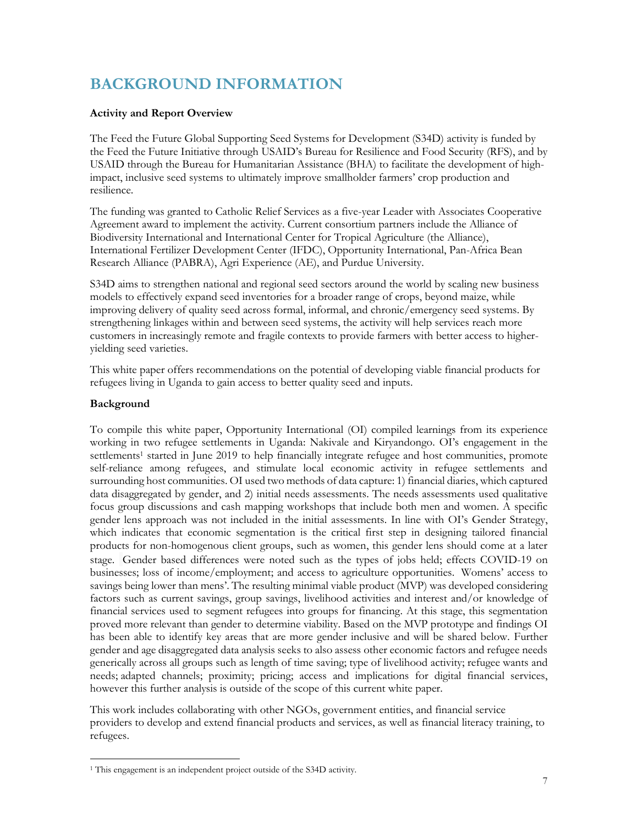## **BACKGROUND INFORMATION**

#### **Activity and Report Overview**

The Feed the Future Global Supporting Seed Systems for Development (S34D) activity is funded by the Feed the Future Initiative through USAID's Bureau for Resilience and Food Security (RFS), and by USAID through the Bureau for Humanitarian Assistance (BHA) to facilitate the development of highimpact, inclusive seed systems to ultimately improve smallholder farmers' crop production and resilience.

The funding was granted to Catholic Relief Services as a five-year Leader with Associates Cooperative Agreement award to implement the activity. Current consortium partners include the Alliance of Biodiversity International and International Center for Tropical Agriculture (the Alliance), International Fertilizer Development Center (IFDC), Opportunity International, Pan-Africa Bean Research Alliance (PABRA), Agri Experience (AE), and Purdue University.

S34D aims to strengthen national and regional seed sectors around the world by scaling new business models to effectively expand seed inventories for a broader range of crops, beyond maize, while improving delivery of quality seed across formal, informal, and chronic/emergency seed systems. By strengthening linkages within and between seed systems, the activity will help services reach more customers in increasingly remote and fragile contexts to provide farmers with better access to higheryielding seed varieties.

This white paper offers recommendations on the potential of developing viable financial products for refugees living in Uganda to gain access to better quality seed and inputs.

#### **Background**

To compile this white paper, Opportunity International (OI) compiled learnings from its experience working in two refugee settlements in Uganda: Nakivale and Kiryandongo. OI's engagement in the settlements<sup>1</sup> started in June 2019 to help financially integrate refugee and host communities, promote self-reliance among refugees, and stimulate local economic activity in refugee settlements and surrounding host communities. OI used two methods of data capture: 1) financial diaries, which captured data disaggregated by gender, and 2) initial needs assessments. The needs assessments used qualitative focus group discussions and cash mapping workshops that include both men and women. A specific gender lens approach was not included in the initial assessments. In line with OI's Gender Strategy, which indicates that economic segmentation is the critical first step in designing tailored financial products for non-homogenous client groups, such as women, this gender lens should come at a later stage. Gender based differences were noted such as the types of jobs held; effects COVID-19 on businesses; loss of income/employment; and access to agriculture opportunities. Womens' access to savings being lower than mens'. The resulting minimal viable product (MVP) was developed considering factors such as current savings, group savings, livelihood activities and interest and/or knowledge of financial services used to segment refugees into groups for financing. At this stage, this segmentation proved more relevant than gender to determine viability. Based on the MVP prototype and findings OI has been able to identify key areas that are more gender inclusive and will be shared below. Further gender and age disaggregated data analysis seeks to also assess other economic factors and refugee needs generically across all groups such as length of time saving; type of livelihood activity; refugee wants and needs; adapted channels; proximity; pricing; access and implications for digital financial services, however this further analysis is outside of the scope of this current white paper.

This work includes collaborating with other NGOs, government entities, and financial service providers to develop and extend financial products and services, as well as financial literacy training, to refugees.

<sup>&</sup>lt;sup>1</sup> This engagement is an independent project outside of the S34D activity.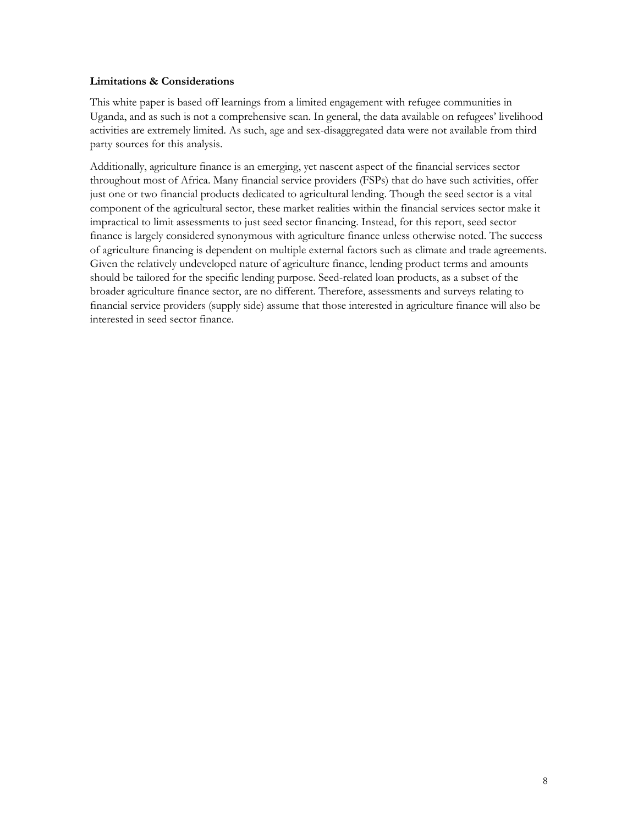#### **Limitations & Considerations**

This white paper is based off learnings from a limited engagement with refugee communities in Uganda, and as such is not a comprehensive scan. In general, the data available on refugees' livelihood activities are extremely limited. As such, age and sex-disaggregated data were not available from third party sources for this analysis.

Additionally, agriculture finance is an emerging, yet nascent aspect of the financial services sector throughout most of Africa. Many financial service providers (FSPs) that do have such activities, offer just one or two financial products dedicated to agricultural lending. Though the seed sector is a vital component of the agricultural sector, these market realities within the financial services sector make it impractical to limit assessments to just seed sector financing. Instead, for this report, seed sector finance is largely considered synonymous with agriculture finance unless otherwise noted. The success of agriculture financing is dependent on multiple external factors such as climate and trade agreements. Given the relatively undeveloped nature of agriculture finance, lending product terms and amounts should be tailored for the specific lending purpose. Seed-related loan products, as a subset of the broader agriculture finance sector, are no different. Therefore, assessments and surveys relating to financial service providers (supply side) assume that those interested in agriculture finance will also be interested in seed sector finance.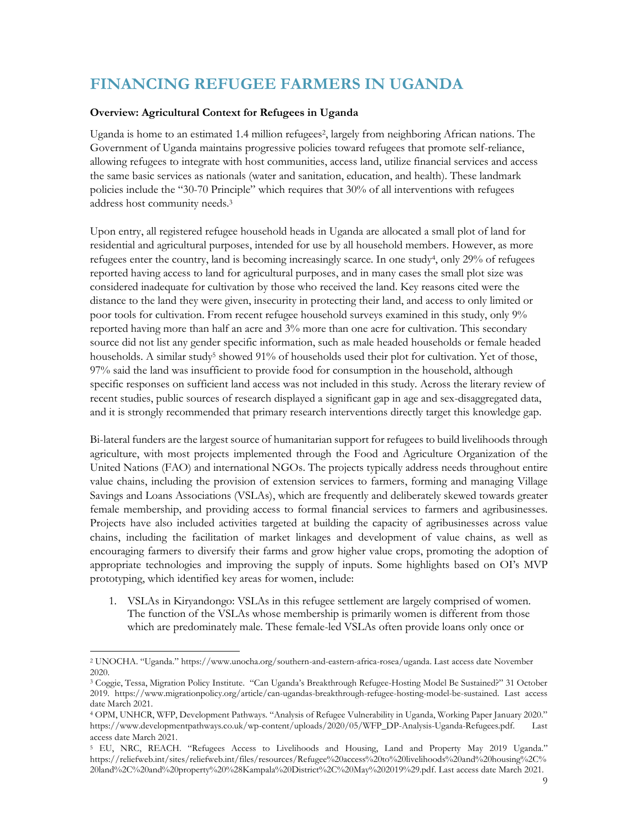## **FINANCING REFUGEE FARMERS IN UGANDA**

#### **Overview: Agricultural Context for Refugees in Uganda**

Uganda is home to an estimated 1.4 million refugees<sup>2</sup>, largely from neighboring African nations. The Government of Uganda maintains progressive policies toward refugees that promote self-reliance, allowing refugees to integrate with host communities, access land, utilize financial services and access the same basic services as nationals (water and sanitation, education, and health). These landmark policies include the "30-70 Principle" which requires that 30% of all interventions with refugees address host community needs.<sup>3</sup>

Upon entry, all registered refugee household heads in Uganda are allocated a small plot of land for residential and agricultural purposes, intended for use by all household members. However, as more refugees enter the country, land is becoming increasingly scarce. In one study<sup>4</sup>, only 29% of refugees reported having access to land for agricultural purposes, and in many cases the small plot size was considered inadequate for cultivation by those who received the land. Key reasons cited were the distance to the land they were given, insecurity in protecting their land, and access to only limited or poor tools for cultivation. From recent refugee household surveys examined in this study, only 9% reported having more than half an acre and 3% more than one acre for cultivation. This secondary source did not list any gender specific information, such as male headed households or female headed households. A similar study<sup>5</sup> showed 91% of households used their plot for cultivation. Yet of those, 97% said the land was insufficient to provide food for consumption in the household, although specific responses on sufficient land access was not included in this study. Across the literary review of recent studies, public sources of research displayed a significant gap in age and sex-disaggregated data, and it is strongly recommended that primary research interventions directly target this knowledge gap.

Bi-lateral funders are the largest source of humanitarian support for refugees to build livelihoods through agriculture, with most projects implemented through the Food and Agriculture Organization of the United Nations (FAO) and international NGOs. The projects typically address needs throughout entire value chains, including the provision of extension services to farmers, forming and managing Village Savings and Loans Associations (VSLAs), which are frequently and deliberately skewed towards greater female membership, and providing access to formal financial services to farmers and agribusinesses. Projects have also included activities targeted at building the capacity of agribusinesses across value chains, including the facilitation of market linkages and development of value chains, as well as encouraging farmers to diversify their farms and grow higher value crops, promoting the adoption of appropriate technologies and improving the supply of inputs. Some highlights based on OI's MVP prototyping, which identified key areas for women, include:

1. VSLAs in Kiryandongo: VSLAs in this refugee settlement are largely comprised of women. The function of the VSLAs whose membership is primarily women is different from those which are predominately male. These female-led VSLAs often provide loans only once or

<sup>2</sup> UNOCHA. "Uganda." [https://www.unocha.org/southern-and-eastern-africa-rosea/uganda.](https://www.unocha.org/southern-and-eastern-africa-rosea/uganda) Last access date November 2020.

<sup>3</sup> Coggie, Tessa, Migration Policy Institute. "Can Uganda's Breakthrough Refugee-Hosting Model Be Sustained?" 31 October 2019. [https://www.migrationpolicy.org/article/can-ugandas-breakthrough-refugee-hosting-model-be-sustained.](https://www.migrationpolicy.org/article/can-ugandas-breakthrough-refugee-hosting-model-be-sustained) Last access date March 2021.

<sup>4</sup> OPM, UNHCR, WFP, Development Pathways. "Analysis of Refugee Vulnerability in Uganda, Working Paper January 2020." [https://www.developmentpathways.co.uk/wp-content/uploads/2020/05/WFP\\_DP-Analysis-Uganda-Refugees.pdf.](https://www.developmentpathways.co.uk/wp-content/uploads/2020/05/WFP_DP-Analysis-Uganda-Refugees.pdf) Last access date March 2021.

<sup>5</sup> EU, NRC, REACH. "Refugees Access to Livelihoods and Housing, Land and Property May 2019 Uganda." [https://reliefweb.int/sites/reliefweb.int/files/resources/Refugee%20access%20to%20livelihoods%20and%20housing%2C%](https://reliefweb.int/sites/reliefweb.int/files/resources/Refugee%20access%20to%20livelihoods%20and%20housing%2C%20land%2C%20and%20property%20%28Kampala%20District%2C%20May%202019%29.pdf) [20land%2C%20and%20property%20%28Kampala%20District%2C%20May%202019%29.pdf.](https://reliefweb.int/sites/reliefweb.int/files/resources/Refugee%20access%20to%20livelihoods%20and%20housing%2C%20land%2C%20and%20property%20%28Kampala%20District%2C%20May%202019%29.pdf) Last access date March 2021.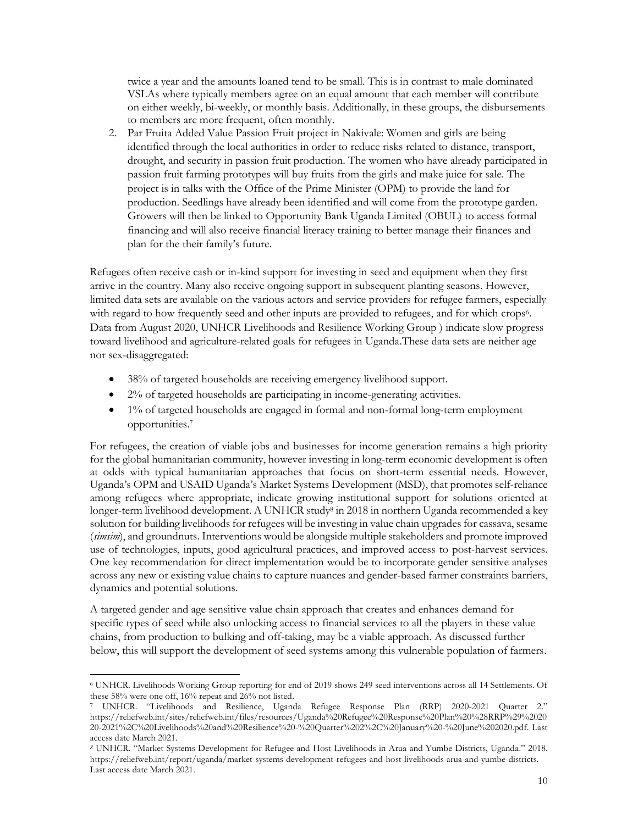twice a year and the amounts loaned tend to be small. This is in contrast to male dominated VSLAs where typically members agree on an equal amount that each member will contribute on either weekly, bi-weekly, or monthly basis. Additionally, in these groups, the disbursements to members are more frequent, often monthly.

2. Par Fruita Added Value Passion Fruit project in Nakivale: Women and girls are being identified through the local authorities in order to reduce risks related to distance, transport, drought, and security in passion fruit production. The women who have already participated in passion fruit farming prototypes will buy fruits from the girls and make juice for sale. The project is in talks with the Office of the Prime Minister (OPM) to provide the land for production. Seedlings have already been identified and will come from the prototype garden. Growers will then be linked to Opportunity Bank Uganda Limited (OBUL) to access formal financing and will also receive financial literacy training to better manage their finances and plan for the their family's future.

Refugees often receive cash or in-kind support for investing in seed and equipment when they first arrive in the country. Many also receive ongoing support in subsequent planting seasons. However, limited data sets are available on the various actors and service providers for refugee farmers, especially with regard to how frequently seed and other inputs are provided to refugees, and for which crops<sup>6</sup>. Data from August 2020, UNHCR Livelihoods and Resilience Working Group ) indicate slow progress toward livelihood and agriculture-related goals for refugees in Uganda.These data sets are neither age nor sex-disaggregated:

- 38% of targeted households are receiving emergency livelihood support.
- 2% of targeted households are participating in income-generating activities.
- 1% of targeted households are engaged in formal and non-formal long-term employment opportunities. 7

For refugees, the creation of viable jobs and businesses for income generation remains a high priority for the global humanitarian community, however investing in long-term economic development is often at odds with typical humanitarian approaches that focus on short-term essential needs. However, Uganda's OPM and USAID Uganda's Market Systems Development (MSD), that promotes self-reliance among refugees where appropriate, indicate growing institutional support for solutions oriented at longer-term livelihood development. A UNHCR study<sup>8</sup> in 2018 in northern Uganda recommended a key solution for building livelihoods for refugees will be investing in value chain upgrades for cassava, sesame (*simsim*), and groundnuts. Interventions would be alongside multiple stakeholders and promote improved use of technologies, inputs, good agricultural practices, and improved access to post-harvest services. One key recommendation for direct implementation would be to incorporate gender sensitive analyses across any new or existing value chains to capture nuances and gender-based farmer constraints barriers, dynamics and potential solutions.

A targeted gender and age sensitive value chain approach that creates and enhances demand for specific types of seed while also unlocking access to financial services to all the players in these value chains, from production to bulking and off-taking, may be a viable approach. As discussed further below, this will support the development of seed systems among this vulnerable population of farmers.

<sup>6</sup> UNHCR. Livelihoods Working Group reporting for end of 2019 shows 249 seed interventions across all 14 Settlements. Of these 58% were one off, 16% repeat and 26% not listed.

<sup>7</sup> UNHCR. "Livelihoods and Resilience, Uganda Refugee Response Plan (RRP) 2020-2021 Quarter 2." [https://reliefweb.int/sites/reliefweb.int/files/resources/Uganda%20Refugee%20Response%20Plan%20%28RRP%29%2020](https://reliefweb.int/sites/reliefweb.int/files/resources/Uganda%20Refugee%20Response%20Plan%20%28RRP%29%202020-2021%2C%20Livelihoods%20and%20Resilience%20-%20Quarter%202%2C%20January%20-%20June%202020.pdf) [20-2021%2C%20Livelihoods%20and%20Resilience%20-%20Quarter%202%2C%20January%20-%20June%202020.pdf.](https://reliefweb.int/sites/reliefweb.int/files/resources/Uganda%20Refugee%20Response%20Plan%20%28RRP%29%202020-2021%2C%20Livelihoods%20and%20Resilience%20-%20Quarter%202%2C%20January%20-%20June%202020.pdf) Last access date March 2021.

*<sup>8</sup>* UNHCR. "Market Systems Development for Refugee and Host Livelihoods in Arua and Yumbe Districts, Uganda." 2018. [https://reliefweb.int/report/uganda/market-systems-development-refugees-and-host-livelihoods-arua-and-yumbe-districts.](https://reliefweb.int/report/uganda/market-systems-development-refugees-and-host-livelihoods-arua-and-yumbe-districts)  Last access date March 2021.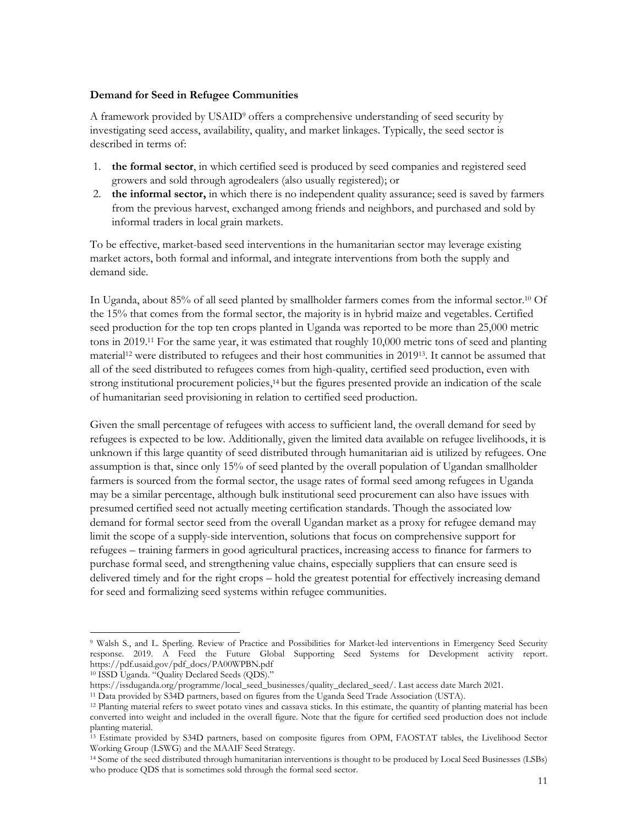#### **Demand for Seed in Refugee Communities**

A framework provided by USAID<sup>9</sup> offers a comprehensive understanding of seed security by investigating seed access, availability, quality, and market linkages. Typically, the seed sector is described in terms of:

- 1. **the formal sector**, in which certified seed is produced by seed companies and registered seed growers and sold through agrodealers (also usually registered); or
- 2. **the informal sector,** in which there is no independent quality assurance; seed is saved by farmers from the previous harvest, exchanged among friends and neighbors, and purchased and sold by informal traders in local grain markets.

To be effective, market-based seed interventions in the humanitarian sector may leverage existing market actors, both formal and informal, and integrate interventions from both the supply and demand side.

In Uganda, about 85% of all seed planted by smallholder farmers comes from the informal sector.<sup>10</sup> Of the 15% that comes from the formal sector, the majority is in hybrid maize and vegetables. Certified seed production for the top ten crops planted in Uganda was reported to be more than 25,000 metric tons in 2019.<sup>11</sup> For the same year, it was estimated that roughly 10,000 metric tons of seed and planting material<sup>12</sup> were distributed to refugees and their host communities in 2019<sup>13</sup>. It cannot be assumed that all of the seed distributed to refugees comes from high-quality, certified seed production, even with strong institutional procurement policies,<sup>14</sup> but the figures presented provide an indication of the scale of humanitarian seed provisioning in relation to certified seed production.

Given the small percentage of refugees with access to sufficient land, the overall demand for seed by refugees is expected to be low. Additionally, given the limited data available on refugee livelihoods, it is unknown if this large quantity of seed distributed through humanitarian aid is utilized by refugees. One assumption is that, since only 15% of seed planted by the overall population of Ugandan smallholder farmers is sourced from the formal sector, the usage rates of formal seed among refugees in Uganda may be a similar percentage, although bulk institutional seed procurement can also have issues with presumed certified seed not actually meeting certification standards. Though the associated low demand for formal sector seed from the overall Ugandan market as a proxy for refugee demand may limit the scope of a supply-side intervention, solutions that focus on comprehensive support for refugees – training farmers in good agricultural practices, increasing access to finance for farmers to purchase formal seed, and strengthening value chains, especially suppliers that can ensure seed is delivered timely and for the right crops – hold the greatest potential for effectively increasing demand for seed and formalizing seed systems within refugee communities.

<sup>9</sup> Walsh S., and L. Sperling. Review of Practice and Possibilities for Market-led interventions in Emergency Seed Security response. 2019. A Feed the Future Global Supporting Seed Systems for Development activity report. https://pdf.usaid.gov/pdf\_docs/PA00WPBN.pdf

<sup>10</sup> ISSD Uganda. "Quality Declared Seeds (QDS)."

[https://issduganda.org/programme/local\\_seed\\_businesses/quality\\_declared\\_seed/.](https://issduganda.org/programme/local_seed_businesses/quality_declared_seed/) Last access date March 2021.

<sup>11</sup> Data provided by S34D partners, based on figures from the Uganda Seed Trade Association (USTA).

<sup>&</sup>lt;sup>12</sup> Planting material refers to sweet potato vines and cassava sticks. In this estimate, the quantity of planting material has been converted into weight and included in the overall figure. Note that the figure for certified seed production does not include planting material.

<sup>&</sup>lt;sup>13</sup> Estimate provided by S34D partners, based on composite figures from OPM, FAOSTAT tables, the Livelihood Sector Working Group (LSWG) and the MAAIF Seed Strategy.

<sup>14</sup> Some of the seed distributed through humanitarian interventions is thought to be produced by Local Seed Businesses (LSBs) who produce QDS that is sometimes sold through the formal seed sector.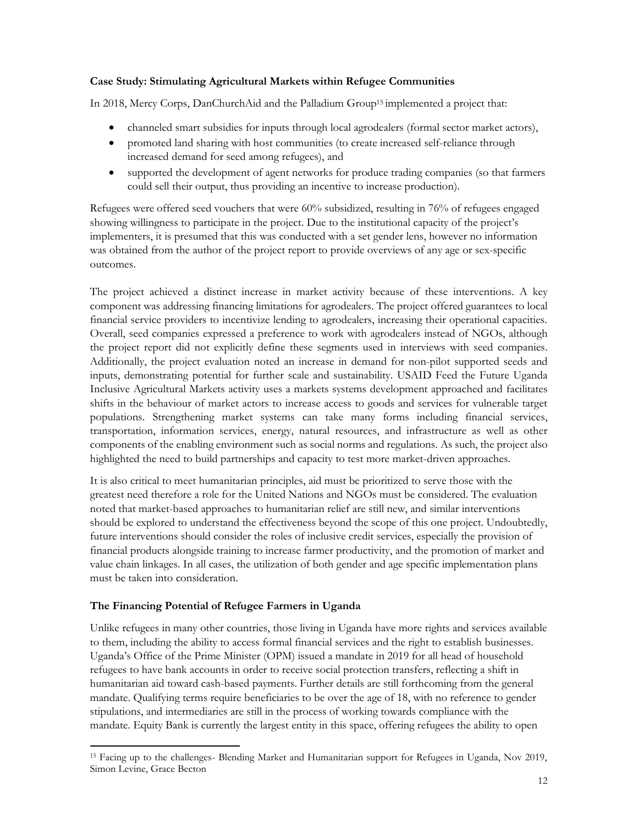#### **Case Study: Stimulating Agricultural Markets within Refugee Communities**

In 2018, Mercy Corps, DanChurchAid and the Palladium Group<sup>15</sup> implemented a project that:

- channeled smart subsidies for inputs through local agrodealers (formal sector market actors),
- promoted land sharing with host communities (to create increased self-reliance through increased demand for seed among refugees), and
- supported the development of agent networks for produce trading companies (so that farmers could sell their output, thus providing an incentive to increase production).

Refugees were offered seed vouchers that were 60% subsidized, resulting in 76% of refugees engaged showing willingness to participate in the project. Due to the institutional capacity of the project's implementers, it is presumed that this was conducted with a set gender lens, however no information was obtained from the author of the project report to provide overviews of any age or sex-specific outcomes.

The project achieved a distinct increase in market activity because of these interventions. A key component was addressing financing limitations for agrodealers. The project offered guarantees to local financial service providers to incentivize lending to agrodealers, increasing their operational capacities. Overall, seed companies expressed a preference to work with agrodealers instead of NGOs, although the project report did not explicitly define these segments used in interviews with seed companies. Additionally, the project evaluation noted an increase in demand for non-pilot supported seeds and inputs, demonstrating potential for further scale and sustainability. USAID Feed the Future Uganda Inclusive Agricultural Markets activity uses a markets systems development approached and facilitates shifts in the behaviour of market actors to increase access to goods and services for vulnerable target populations. Strengthening market systems can take many forms including financial services, transportation, information services, energy, natural resources, and infrastructure as well as other components of the enabling environment such as social norms and regulations. As such, the project also highlighted the need to build partnerships and capacity to test more market-driven approaches.

It is also critical to meet humanitarian principles, aid must be prioritized to serve those with the greatest need therefore a role for the United Nations and NGOs must be considered. The evaluation noted that market-based approaches to humanitarian relief are still new, and similar interventions should be explored to understand the effectiveness beyond the scope of this one project. Undoubtedly, future interventions should consider the roles of inclusive credit services, especially the provision of financial products alongside training to increase farmer productivity, and the promotion of market and value chain linkages. In all cases, the utilization of both gender and age specific implementation plans must be taken into consideration.

#### **The Financing Potential of Refugee Farmers in Uganda**

Unlike refugees in many other countries, those living in Uganda have more rights and services available to them, including the ability to access formal financial services and the right to establish businesses. Uganda's Office of the Prime Minister (OPM) issued a mandate in 2019 for all head of household refugees to have bank accounts in order to receive social protection transfers, reflecting a shift in humanitarian aid toward cash-based payments. Further details are still forthcoming from the general mandate. Qualifying terms require beneficiaries to be over the age of 18, with no reference to gender stipulations, and intermediaries are still in the process of working towards compliance with the mandate. Equity Bank is currently the largest entity in this space, offering refugees the ability to open

<sup>15</sup> Facing up to the challenges- Blending Market and Humanitarian support for Refugees in Uganda, Nov 2019, Simon Levine, Grace Becton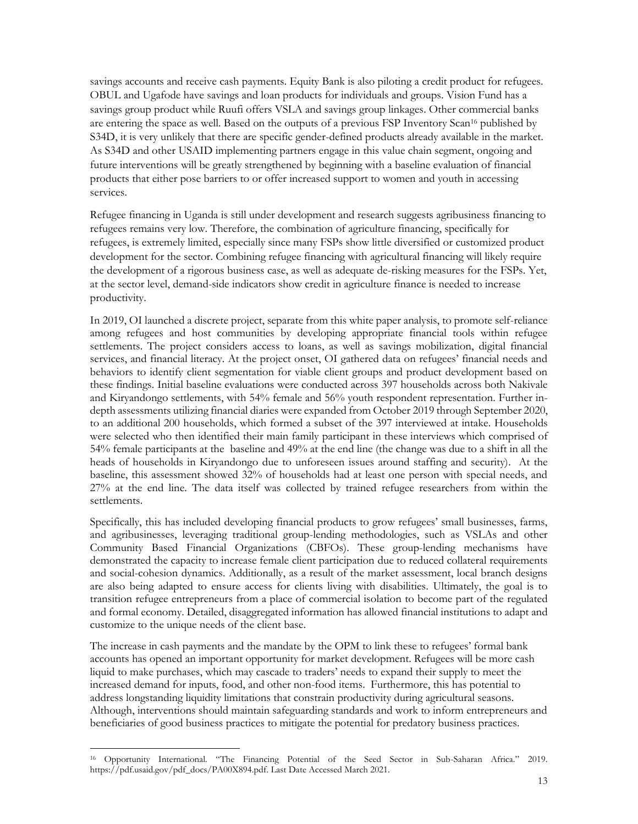savings accounts and receive cash payments. Equity Bank is also piloting a credit product for refugees. OBUL and Ugafode have savings and loan products for individuals and groups. Vision Fund has a savings group product while Ruufi offers VSLA and savings group linkages. Other commercial banks are entering the space as well. Based on the outputs of a previous FSP Inventory Scan<sup>16</sup> published by S34D, it is very unlikely that there are specific gender-defined products already available in the market. As S34D and other USAID implementing partners engage in this value chain segment, ongoing and future interventions will be greatly strengthened by beginning with a baseline evaluation of financial products that either pose barriers to or offer increased support to women and youth in accessing services.

Refugee financing in Uganda is still under development and research suggests agribusiness financing to refugees remains very low. Therefore, the combination of agriculture financing, specifically for refugees, is extremely limited, especially since many FSPs show little diversified or customized product development for the sector. Combining refugee financing with agricultural financing will likely require the development of a rigorous business case, as well as adequate de-risking measures for the FSPs. Yet, at the sector level, demand-side indicators show credit in agriculture finance is needed to increase productivity.

In 2019, OI launched a discrete project, separate from this white paper analysis, to promote self-reliance among refugees and host communities by developing appropriate financial tools within refugee settlements. The project considers access to loans, as well as savings mobilization, digital financial services, and financial literacy. At the project onset, OI gathered data on refugees' financial needs and behaviors to identify client segmentation for viable client groups and product development based on these findings. Initial baseline evaluations were conducted across 397 households across both Nakivale and Kiryandongo settlements, with 54% female and 56% youth respondent representation. Further indepth assessments utilizing financial diaries were expanded from October 2019 through September 2020, to an additional 200 households, which formed a subset of the 397 interviewed at intake. Households were selected who then identified their main family participant in these interviews which comprised of 54% female participants at the baseline and 49% at the end line (the change was due to a shift in all the heads of households in Kiryandongo due to unforeseen issues around staffing and security). At the baseline, this assessment showed 32% of households had at least one person with special needs, and 27% at the end line. The data itself was collected by trained refugee researchers from within the settlements.

Specifically, this has included developing financial products to grow refugees' small businesses, farms, and agribusinesses, leveraging traditional group-lending methodologies, such as VSLAs and other Community Based Financial Organizations (CBFOs). These group-lending mechanisms have demonstrated the capacity to increase female client participation due to reduced collateral requirements and social-cohesion dynamics. Additionally, as a result of the market assessment, local branch designs are also being adapted to ensure access for clients living with disabilities. Ultimately, the goal is to transition refugee entrepreneurs from a place of commercial isolation to become part of the regulated and formal economy. Detailed, disaggregated information has allowed financial institutions to adapt and customize to the unique needs of the client base.

The increase in cash payments and the mandate by the OPM to link these to refugees' formal bank accounts has opened an important opportunity for market development. Refugees will be more cash liquid to make purchases, which may cascade to traders' needs to expand their supply to meet the increased demand for inputs, food, and other non-food items. Furthermore, this has potential to address longstanding liquidity limitations that constrain productivity during agricultural seasons. Although, interventions should maintain safeguarding standards and work to inform entrepreneurs and beneficiaries of good business practices to mitigate the potential for predatory business practices.

<sup>16</sup> Opportunity International. "The Financing Potential of the Seed Sector in Sub-Saharan Africa." 2019. [https://pdf.usaid.gov/pdf\\_docs/PA00X894.pdf.](https://pdf.usaid.gov/pdf_docs/PA00X894.pdf) Last Date Accessed March 2021.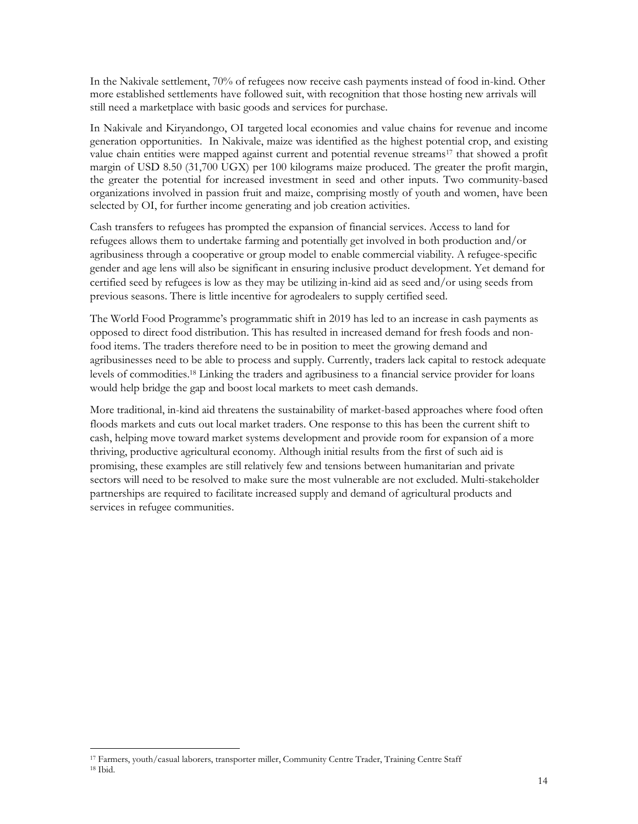In the Nakivale settlement, 70% of refugees now receive cash payments instead of food in-kind. Other more established settlements have followed suit, with recognition that those hosting new arrivals will still need a marketplace with basic goods and services for purchase.

In Nakivale and Kiryandongo, OI targeted local economies and value chains for revenue and income generation opportunities. In Nakivale, maize was identified as the highest potential crop, and existing value chain entities were mapped against current and potential revenue streams<sup>17</sup> that showed a profit margin of USD 8.50 (31,700 UGX) per 100 kilograms maize produced. The greater the profit margin, the greater the potential for increased investment in seed and other inputs. Two community-based organizations involved in passion fruit and maize, comprising mostly of youth and women, have been selected by OI, for further income generating and job creation activities.

Cash transfers to refugees has prompted the expansion of financial services. Access to land for refugees allows them to undertake farming and potentially get involved in both production and/or agribusiness through a cooperative or group model to enable commercial viability. A refugee-specific gender and age lens will also be significant in ensuring inclusive product development. Yet demand for certified seed by refugees is low as they may be utilizing in-kind aid as seed and/or using seeds from previous seasons. There is little incentive for agrodealers to supply certified seed.

The World Food Programme's programmatic shift in 2019 has led to an increase in cash payments as opposed to direct food distribution. This has resulted in increased demand for fresh foods and nonfood items. The traders therefore need to be in position to meet the growing demand and agribusinesses need to be able to process and supply. Currently, traders lack capital to restock adequate levels of commodities. <sup>18</sup> Linking the traders and agribusiness to a financial service provider for loans would help bridge the gap and boost local markets to meet cash demands.

More traditional, in-kind aid threatens the sustainability of market-based approaches where food often floods markets and cuts out local market traders. One response to this has been the current shift to cash, helping move toward market systems development and provide room for expansion of a more thriving, productive agricultural economy. Although initial results from the first of such aid is promising, these examples are still relatively few and tensions between humanitarian and private sectors will need to be resolved to make sure the most vulnerable are not excluded. Multi-stakeholder partnerships are required to facilitate increased supply and demand of agricultural products and services in refugee communities.

<sup>17</sup> Farmers, youth/casual laborers, transporter miller, Community Centre Trader, Training Centre Staff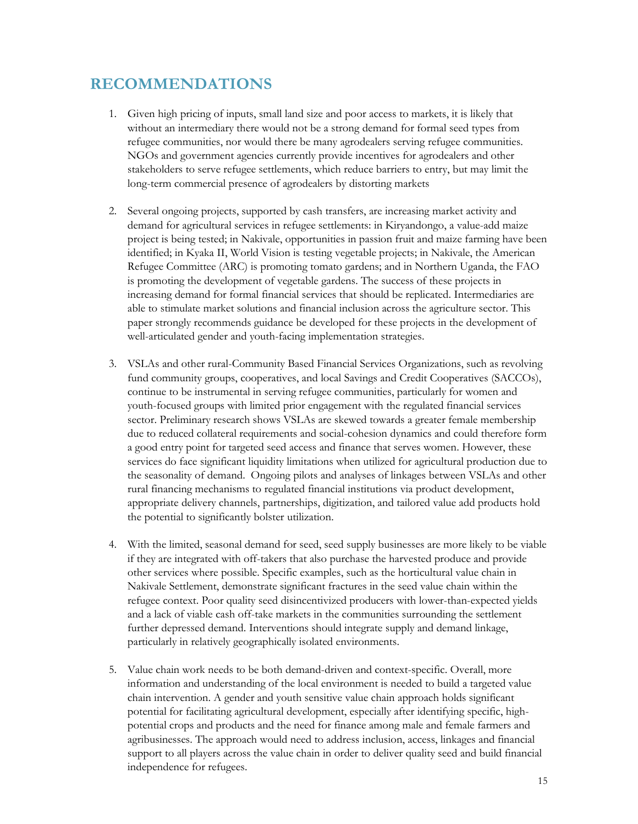### **RECOMMENDATIONS**

- 1. Given high pricing of inputs, small land size and poor access to markets, it is likely that without an intermediary there would not be a strong demand for formal seed types from refugee communities, nor would there be many agrodealers serving refugee communities. NGOs and government agencies currently provide incentives for agrodealers and other stakeholders to serve refugee settlements, which reduce barriers to entry, but may limit the long-term commercial presence of agrodealers by distorting markets
- 2. Several ongoing projects, supported by cash transfers, are increasing market activity and demand for agricultural services in refugee settlements: in Kiryandongo, a value-add maize project is being tested; in Nakivale, opportunities in passion fruit and maize farming have been identified; in Kyaka II, World Vision is testing vegetable projects; in Nakivale, the American Refugee Committee (ARC) is promoting tomato gardens; and in Northern Uganda, the FAO is promoting the development of vegetable gardens. The success of these projects in increasing demand for formal financial services that should be replicated. Intermediaries are able to stimulate market solutions and financial inclusion across the agriculture sector. This paper strongly recommends guidance be developed for these projects in the development of well-articulated gender and youth-facing implementation strategies.
- 3. VSLAs and other rural-Community Based Financial Services Organizations, such as revolving fund community groups, cooperatives, and local Savings and Credit Cooperatives (SACCOs), continue to be instrumental in serving refugee communities, particularly for women and youth-focused groups with limited prior engagement with the regulated financial services sector. Preliminary research shows VSLAs are skewed towards a greater female membership due to reduced collateral requirements and social-cohesion dynamics and could therefore form a good entry point for targeted seed access and finance that serves women. However, these services do face significant liquidity limitations when utilized for agricultural production due to the seasonality of demand. Ongoing pilots and analyses of linkages between VSLAs and other rural financing mechanisms to regulated financial institutions via product development, appropriate delivery channels, partnerships, digitization, and tailored value add products hold the potential to significantly bolster utilization.
- 4. With the limited, seasonal demand for seed, seed supply businesses are more likely to be viable if they are integrated with off-takers that also purchase the harvested produce and provide other services where possible. Specific examples, such as the horticultural value chain in Nakivale Settlement, demonstrate significant fractures in the seed value chain within the refugee context. Poor quality seed disincentivized producers with lower-than-expected yields and a lack of viable cash off-take markets in the communities surrounding the settlement further depressed demand. Interventions should integrate supply and demand linkage, particularly in relatively geographically isolated environments.
- 5. Value chain work needs to be both demand-driven and context-specific. Overall, more information and understanding of the local environment is needed to build a targeted value chain intervention. A gender and youth sensitive value chain approach holds significant potential for facilitating agricultural development, especially after identifying specific, highpotential crops and products and the need for finance among male and female farmers and agribusinesses. The approach would need to address inclusion, access, linkages and financial support to all players across the value chain in order to deliver quality seed and build financial independence for refugees.